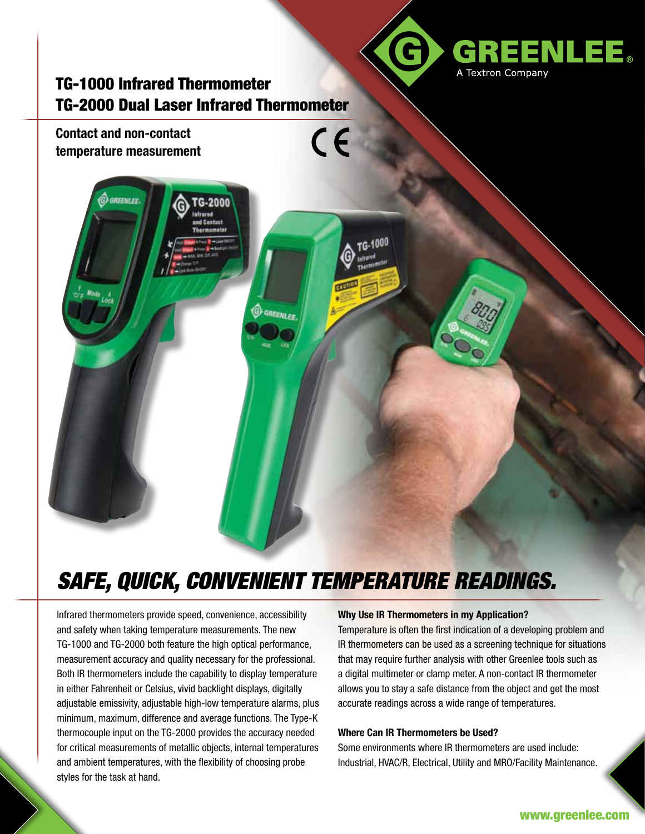

## TG-1000 Infrared Thermometer TG-2000 Dual Laser Infrared Thermometer



# *SAFE, QUICK, CONVENIENT TEMPERATURE READINGS.*

Infrared thermometers provide speed, convenience, accessibility and safety when taking temperature measurements. The new TG-1000 and TG-2000 both feature the high optical performance, measurement accuracy and quality necessary for the professional. Both IR thermometers include the capability to display temperature in either Fahrenheit or Celsius, vivid backlight displays, digitally adjustable emissivity, adjustable high-low temperature alarms, plus minimum, maximum, difference and average functions. The Type-K thermocouple input on the TG-2000 provides the accuracy needed for critical measurements of metallic objects, internal temperatures and ambient temperatures, with the flexibility of choosing probe styles for the task at hand.

#### **Why Use IR Thermometers in my Application?**

Temperature is often the first indication of a developing problem and IR thermometers can be used as a screening technique for situations that may require further analysis with other Greenlee tools such as a digital multimeter or clamp meter. A non-contact IR thermometer allows you to stay a safe distance from the object and get the most accurate readings across a wide range of temperatures.

#### **Where Can IR Thermometers be Used?**

Some environments where IR thermometers are used include: Industrial, HVAC/R, Electrical, Utility and MRO/Facility Maintenance.